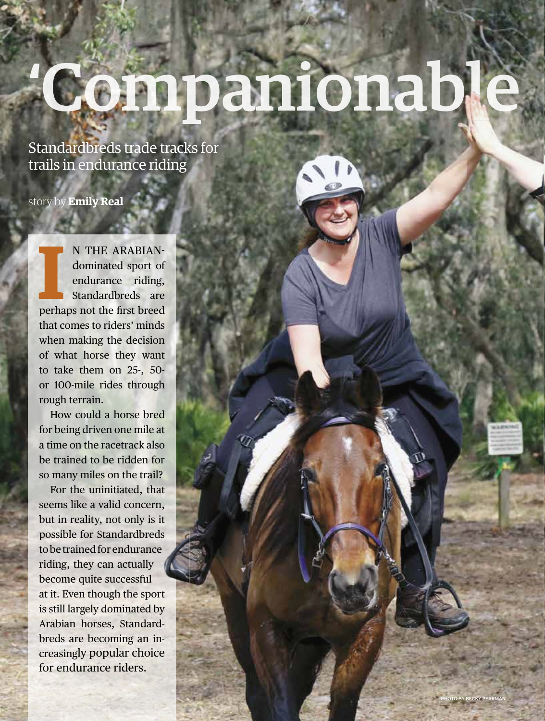# Companionabl

### Standardbreds trade tracks for trails in endurance riding

story by **Emily Real**

**I** N THE ARABIAN dominated sport of endurance riding, Standardbreds are perhaps not the first breed that comes to riders' minds when making the decision of what horse they want to take them on 25-, 50 or 100-mile rides through rough terrain.

How could a horse bred for being driven one mile at a time on the racetrack also be trained to be ridden for so many miles on the trail?

For the uninitiated, that seems like a valid concern, but in reality, not only is it possible for Standardbreds to be trained for endurance riding, they can actually become quite successful at it. Even though the sport is still largely dominated by Arabian horses, Standard breds are becoming an in creasingly popular choice for endurance riders.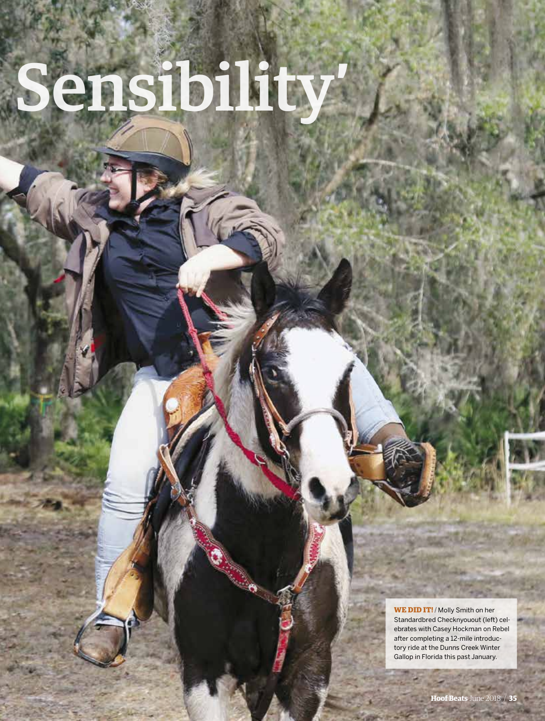# Sensibility

**WE DID IT! /** Molly Smith on her Standardbred Checknyouout (left) celebrates with Casey Hockman on Rebel after completing a 12-mile introductory ride at the Dunns Creek Winter Gallop in Florida this past January.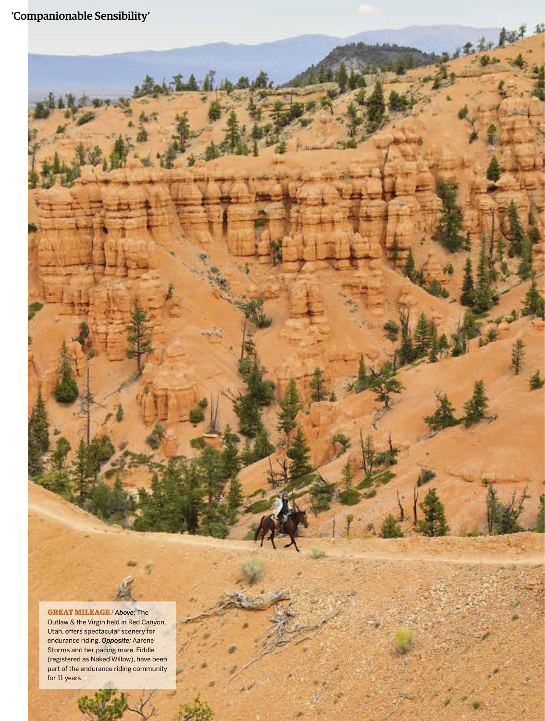'Companionable Sensibility'

 $\hat{M}$ 

去和

**GREAT MILEAGE /** *Above:* The Outlaw & the Virgin held in Red Canyon, Utah, offers spectacular scenery for endurance riding. *Opposite:* Aarene Storms and her pacing mare, Fiddle (registered as Naked Willow), have been part of the endurance riding community for 11 years.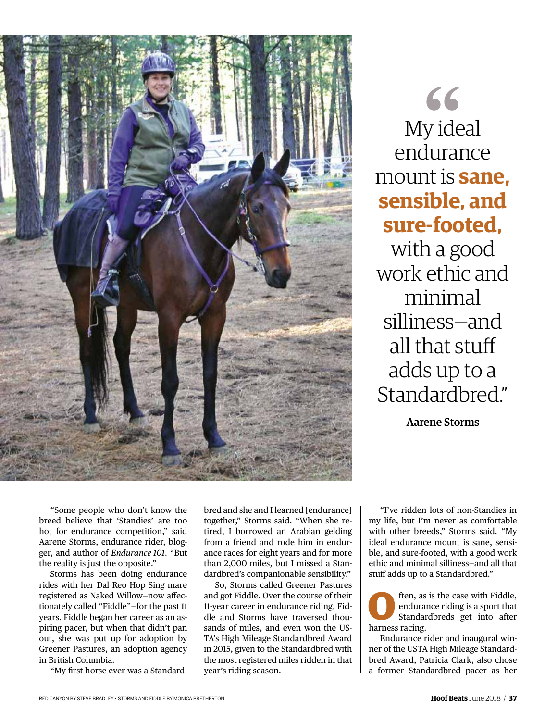

 $66$ My ideal endurance mount is **sane, sensible, and sure-footed,** with a good work ethic and

minimal silliness—and all that stuff adds up to a Standardbred."

Aarene Storms

"Some people who don't know the breed believe that 'Standies' are too hot for endurance competition," said Aarene Storms, endurance rider, blogger, and author of *Endurance 101*. "But the reality is just the opposite."

Storms has been doing endurance rides with her Dal Reo Hop Sing mare registered as Naked Willow—now affectionately called "Fiddle"—for the past 11 years. Fiddle began her career as an aspiring pacer, but when that didn't pan out, she was put up for adoption by Greener Pastures, an adoption agency in British Columbia.

"My first horse ever was a Standard-

bred and she and I learned [endurance] together," Storms said. "When she retired, I borrowed an Arabian gelding from a friend and rode him in endurance races for eight years and for more than 2,000 miles, but I missed a Standardbred's companionable sensibility."

So, Storms called Greener Pastures and got Fiddle. Over the course of their 11-year career in endurance riding, Fiddle and Storms have traversed thousands of miles, and even won the US-TA's High Mileage Standardbred Award in 2015, given to the Standardbred with the most registered miles ridden in that year's riding season.

"I've ridden lots of non-Standies in my life, but I'm never as comfortable with other breeds," Storms said. "My ideal endurance mount is sane, sensible, and sure-footed, with a good work ethic and minimal silliness—and all that stuff adds up to a Standardbred."

**O**ften, as is the case with Fiddle, endurance riding is a sport that Standardbreds get into after endurance riding is a sport that Standardbreds get into after harness racing.

Endurance rider and inaugural winner of the USTA High Mileage Standardbred Award, Patricia Clark, also chose a former Standardbred pacer as her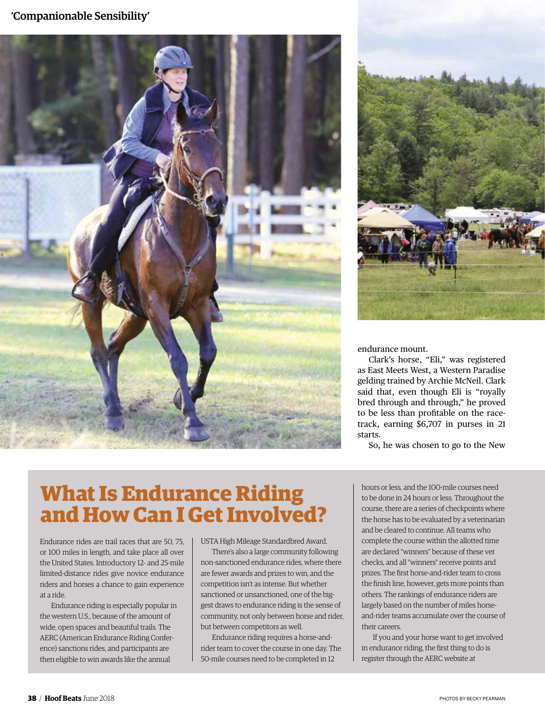#### 'Companionable Sensibility'





endurance mount.

Clark's horse, "Eli," was registered as East Meets West, a Western Paradise gelding trained by Archie McNeil. Clark said that, even though Eli is "royally bred through and through," he proved to be less than profitable on the racetrack, earning \$6,707 in purses in 21 starts.

So, he was chosen to go to the New

# **What Is Endurance Riding and How Can I Get Involved?**

Endurance rides are trail races that are 50, 75, or 100 miles in length, and take place all over the United States. Introductory 12- and 25-mile limited-distance rides give novice endurance riders and horses a chance to gain experience at a ride.

Endurance riding is especially popular in the western U.S., because of the amount of wide, open spaces and beautiful trails. The AERC (American Endurance Riding Conference) sanctions rides, and participants are then eligible to win awards like the annual

USTA High Mileage Standardbred Award.

There's also a large community following non-sanctioned endurance rides, where there are fewer awards and prizes to win, and the competition isn't as intense. But whether sanctioned or unsanctioned, one of the biggest draws to endurance riding is the sense of community, not only between horse and rider, but between competitors as well.

Endurance riding requires a horse-andrider team to cover the course in one day. The 50-mile courses need to be completed in 12

hours or less, and the 100-mile courses need to be done in 24 hours or less. Throughout the course, there are a series of checkpoints where the horse has to be evaluated by a veterinarian and be cleared to continue. All teams who complete the course within the allotted time are declared "winners" because of these vet checks, and all "winners" receive points and prizes. The first horse-and-rider team to cross the finish line, however, gets more points than others. The rankings of endurance riders are largely based on the number of miles horseand-rider teams accumulate over the course of their careers.

If you and your horse want to get involved in endurance riding, the first thing to do is register through the AERC website at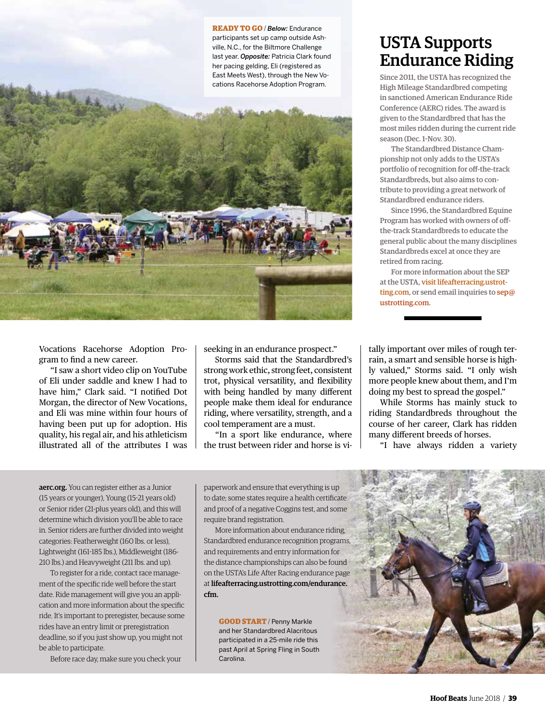**READY TO GO /** *Below:* Endurance participants set up camp outside Ashville, N.C., for the Biltmore Challenge last year. *Opposite:* Patricia Clark found her pacing gelding, Eli (registered as East Meets West), through the New Vocations Racehorse Adoption Program.



Vocations Racehorse Adoption Program to find a new career.

"I saw a short video clip on YouTube of Eli under saddle and knew I had to have him," Clark said. "I notified Dot Morgan, the director of New Vocations, and Eli was mine within four hours of having been put up for adoption. His quality, his regal air, and his athleticism illustrated all of the attributes I was seeking in an endurance prospect."

Storms said that the Standardbred's strong work ethic, strong feet, consistent trot, physical versatility, and flexibility with being handled by many different people make them ideal for endurance riding, where versatility, strength, and a cool temperament are a must.

"In a sport like endurance, where the trust between rider and horse is vi-

## USTA Supports Endurance Riding

Since 2011, the USTA has recognized the High Mileage Standardbred competing in sanctioned American Endurance Ride Conference (AERC) rides. The award is given to the Standardbred that has the most miles ridden during the current ride season (Dec. 1-Nov. 30).

The Standardbred Distance Championship not only adds to the USTA's portfolio of recognition for off-the-track Standardbreds, but also aims to contribute to providing a great network of Standardbred endurance riders.

Since 1996, the Standardbred Equine Program has worked with owners of offthe-track Standardbreds to educate the general public about the many disciplines Standardbreds excel at once they are retired from racing.

For more information about the SEP at the USTA, visit lifeafterracing.ustrotting.com, or send email inquiries to sep@ ustrotting.com.

tally important over miles of rough terrain, a smart and sensible horse is highly valued," Storms said. "I only wish more people knew about them, and I'm doing my best to spread the gospel."

While Storms has mainly stuck to riding Standardbreds throughout the course of her career, Clark has ridden many different breeds of horses.

"I have always ridden a variety

aerc.org. You can register either as a Junior (15 years or younger), Young (15-21 years old) or Senior rider (21-plus years old), and this will determine which division you'll be able to race in. Senior riders are further divided into weight categories: Featherweight (160 lbs. or less), Lightweight (161-185 lbs.), Middleweight (186- 210 lbs.) and Heavyweight (211 lbs. and up).

To register for a ride, contact race management of the specific ride well before the start date. Ride management will give you an application and more information about the specific ride. It's important to preregister, because some rides have an entry limit or preregistration deadline, so if you just show up, you might not be able to participate.

Before race day, make sure you check your

paperwork and ensure that everything is up to date; some states require a health certificate and proof of a negative Coggins test, and some require brand registration.

More information about endurance riding, Standardbred endurance recognition programs, and requirements and entry information for the distance championships can also be found on the USTA's Life After Racing endurance page at lifeafterracing.ustrotting.com/endurance. cfm.

**GOOD START** / Penny Markle and her Standardbred Alacritous participated in a 25-mile ride this past April at Spring Fling in South Carolina.